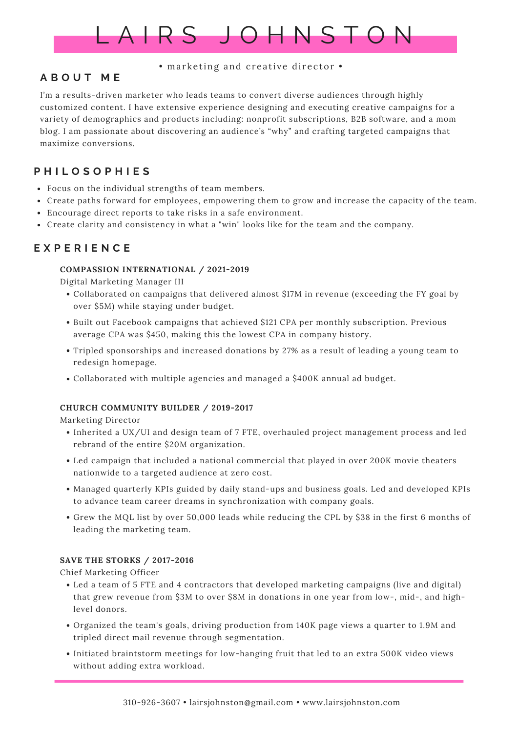

#### • marketing and creative director •

## **A B O U T M E**

I'm a results-driven marketer who leads teams to convert diverse audiences through highly customized content. I have extensive experience designing and executing creative campaigns for a variety of demographics and products including: nonprofit subscriptions, B2B software, and a mom blog. I am passionate about discovering an audience's "why" and crafting targeted campaigns that maximize conversions.

# **P H I L O S O P H I E S**

- Focus on the individual strengths of team members.
- Create paths forward for employees, empowering them to grow and increase the capacity of the team.
- Encourage direct reports to take risks in a safe environment.
- Create clarity and consistency in what a "win" looks like for the team and the company.

## **E X P E R I E N C E**

#### **COMPASSION INTERNATIONAL / 2021-2019**

Digital Marketing Manager III

- Collaborated on campaigns that delivered almost \$17M in revenue (exceeding the FY goal by over \$5M) while staying under budget.
- Built out Facebook campaigns that achieved \$121 CPA per monthly subscription. Previous average CPA was \$450, making this the lowest CPA in company history.
- Tripled sponsorships and increased donations by 27% as a result of leading a young team to redesign homepage.
- Collaborated with multiple agencies and managed a \$400K annual ad budget.

### **CHURCH COMMUNITY BUILDER / 2019-2017**

Marketing Director

- Inherited a UX/UI and design team of 7 FTE, overhauled project management process and led rebrand of the entire \$20M organization.
- Led campaign that included a national commercial that played in over 200K movie theaters nationwide to a targeted audience at zero cost.
- Managed quarterly KPIs guided by daily stand-ups and business goals. Led and developed KPIs to advance team career dreams in synchronization with company goals.
- Grew the MQL list by over 50,000 leads while reducing the CPL by \$38 in the first 6 months of leading the marketing team.

### **SAVE THE STORKS / 2017-2016**

Chief Marketing Officer

- Led a team of 5 FTE and 4 contractors that developed marketing campaigns (live and digital) that grew revenue from \$3M to over \$8M in donations in one year from low-, mid-, and highlevel donors.
- Organized the team's goals, driving production from 140K page views a quarter to 1.9M and tripled direct mail revenue through segmentation.
- Initiated braintstorm meetings for low-hanging fruit that led to an extra 500K video views without adding extra workload.